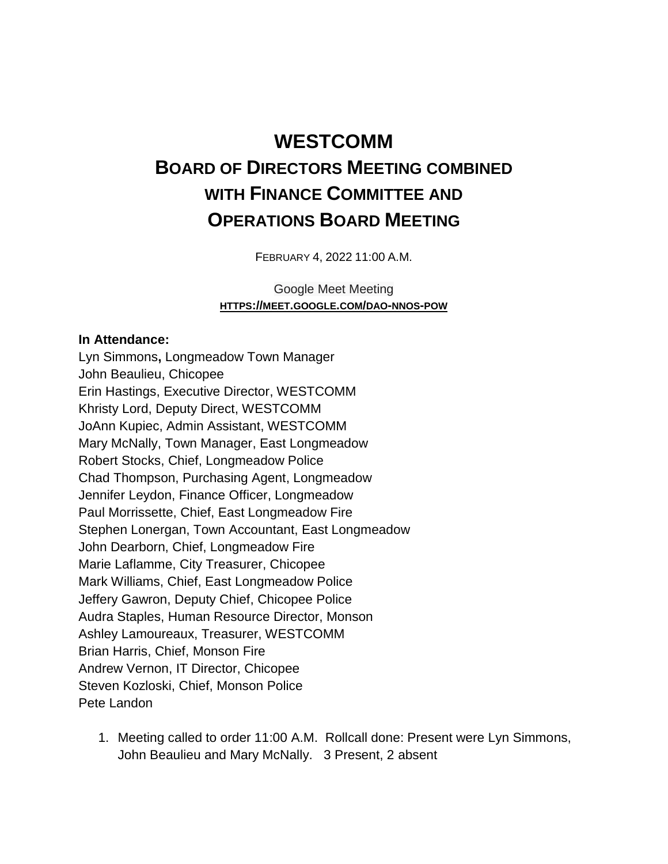## **WESTCOMM BOARD OF DIRECTORS MEETING COMBINED WITH FINANCE COMMITTEE AND OPERATIONS BOARD MEETING**

FEBRUARY 4, 2022 11:00 A.M.

Google Meet Meeting **HTTPS://MEET.GOOGLE.COM/DAO-NNOS-POW**

## **In Attendance:**

Lyn Simmons**,** Longmeadow Town Manager John Beaulieu, Chicopee Erin Hastings, Executive Director, WESTCOMM Khristy Lord, Deputy Direct, WESTCOMM JoAnn Kupiec, Admin Assistant, WESTCOMM Mary McNally, Town Manager, East Longmeadow Robert Stocks, Chief, Longmeadow Police Chad Thompson, Purchasing Agent, Longmeadow Jennifer Leydon, Finance Officer, Longmeadow Paul Morrissette, Chief, East Longmeadow Fire Stephen Lonergan, Town Accountant, East Longmeadow John Dearborn, Chief, Longmeadow Fire Marie Laflamme, City Treasurer, Chicopee Mark Williams, Chief, East Longmeadow Police Jeffery Gawron, Deputy Chief, Chicopee Police Audra Staples, Human Resource Director, Monson Ashley Lamoureaux, Treasurer, WESTCOMM Brian Harris, Chief, Monson Fire Andrew Vernon, IT Director, Chicopee Steven Kozloski, Chief, Monson Police Pete Landon

1. Meeting called to order 11:00 A.M. Rollcall done: Present were Lyn Simmons, John Beaulieu and Mary McNally. 3 Present, 2 absent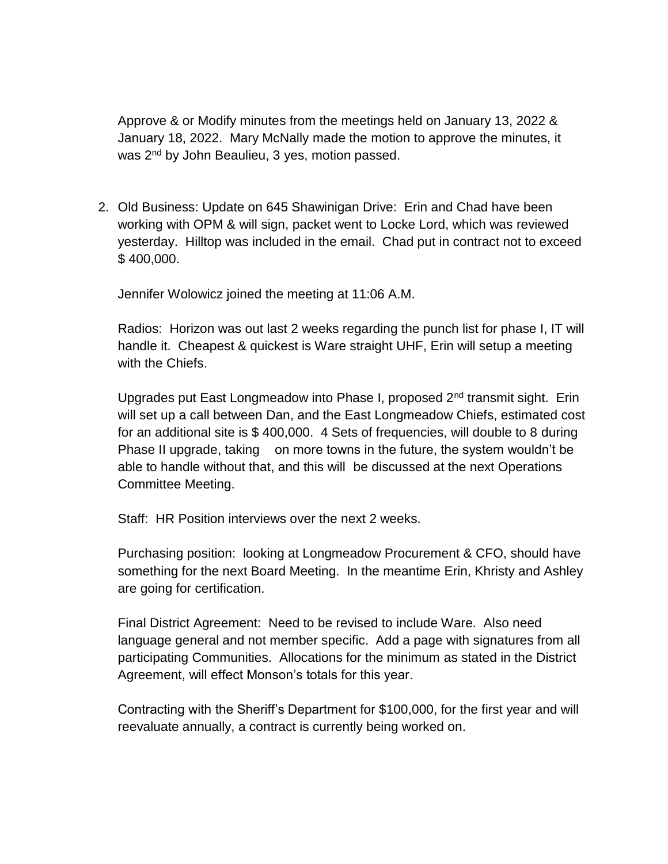Approve & or Modify minutes from the meetings held on January 13, 2022 & January 18, 2022. Mary McNally made the motion to approve the minutes, it was 2<sup>nd</sup> by John Beaulieu, 3 yes, motion passed.

2. Old Business: Update on 645 Shawinigan Drive: Erin and Chad have been working with OPM & will sign, packet went to Locke Lord, which was reviewed yesterday. Hilltop was included in the email. Chad put in contract not to exceed \$ 400,000.

Jennifer Wolowicz joined the meeting at 11:06 A.M.

Radios: Horizon was out last 2 weeks regarding the punch list for phase I, IT will handle it. Cheapest & quickest is Ware straight UHF, Erin will setup a meeting with the Chiefs.

Upgrades put East Longmeadow into Phase I, proposed 2<sup>nd</sup> transmit sight. Erin will set up a call between Dan, and the East Longmeadow Chiefs, estimated cost for an additional site is \$ 400,000. 4 Sets of frequencies, will double to 8 during Phase II upgrade, taking on more towns in the future, the system wouldn't be able to handle without that, and this will be discussed at the next Operations Committee Meeting.

Staff: HR Position interviews over the next 2 weeks.

Purchasing position: looking at Longmeadow Procurement & CFO, should have something for the next Board Meeting. In the meantime Erin, Khristy and Ashley are going for certification.

Final District Agreement: Need to be revised to include Ware. Also need language general and not member specific. Add a page with signatures from all participating Communities. Allocations for the minimum as stated in the District Agreement, will effect Monson's totals for this year.

Contracting with the Sheriff's Department for \$100,000, for the first year and will reevaluate annually, a contract is currently being worked on.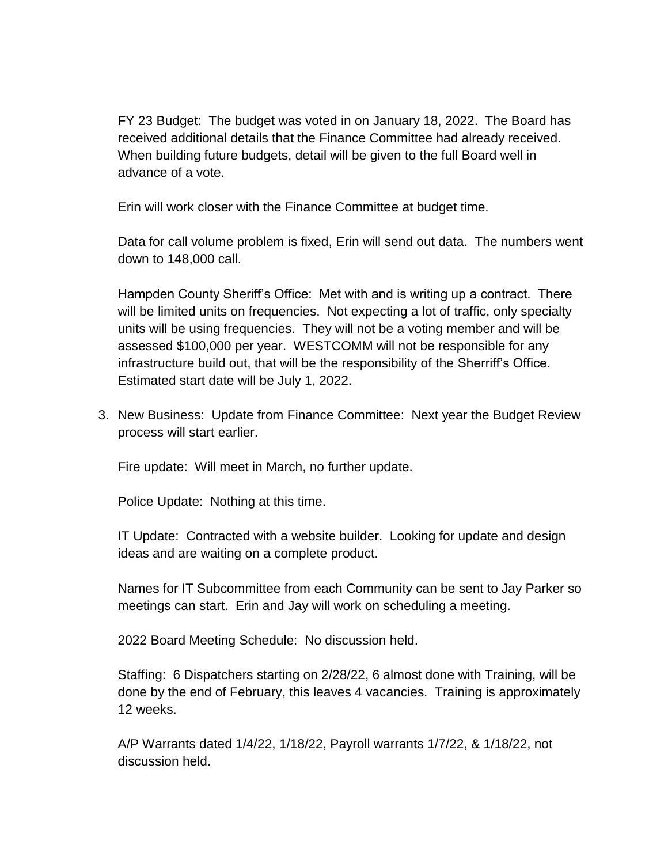FY 23 Budget: The budget was voted in on January 18, 2022. The Board has received additional details that the Finance Committee had already received. When building future budgets, detail will be given to the full Board well in advance of a vote.

Erin will work closer with the Finance Committee at budget time.

Data for call volume problem is fixed, Erin will send out data. The numbers went down to 148,000 call.

Hampden County Sheriff's Office: Met with and is writing up a contract. There will be limited units on frequencies. Not expecting a lot of traffic, only specialty units will be using frequencies. They will not be a voting member and will be assessed \$100,000 per year. WESTCOMM will not be responsible for any infrastructure build out, that will be the responsibility of the Sherriff's Office. Estimated start date will be July 1, 2022.

3. New Business: Update from Finance Committee: Next year the Budget Review process will start earlier.

Fire update: Will meet in March, no further update.

Police Update: Nothing at this time.

IT Update: Contracted with a website builder. Looking for update and design ideas and are waiting on a complete product.

Names for IT Subcommittee from each Community can be sent to Jay Parker so meetings can start. Erin and Jay will work on scheduling a meeting.

2022 Board Meeting Schedule: No discussion held.

Staffing: 6 Dispatchers starting on 2/28/22, 6 almost done with Training, will be done by the end of February, this leaves 4 vacancies. Training is approximately 12 weeks.

A/P Warrants dated 1/4/22, 1/18/22, Payroll warrants 1/7/22, & 1/18/22, not discussion held.